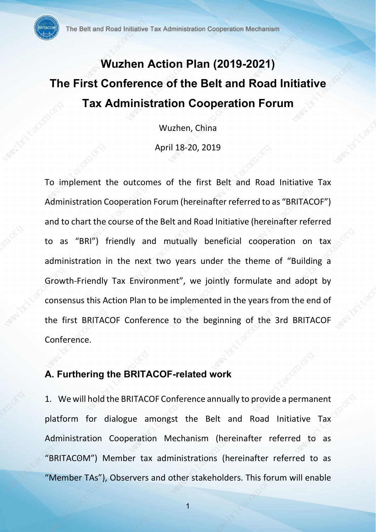# Wuzhen Action Plan (2019-2021) The First Conference of the Belt and Road Initiative Tax Administration Cooperation Forum

Wuzhen, China

April 18-20, 2019

To implement the outcomes of the first Belt and Road Initiative Tax Administration Cooperation Forum (hereinafter referred to as "BRITACOF") and to chart the course of the Belt and Road Initiative (hereinafter referred to as "BRI") friendly and mutually beneficial cooperation on tax administration in the next two years under the theme of "Building a Growth-Friendly Tax Environment", we jointly formulate and adopt by consensus this Action Plan to be implemented in the years from the end of the first BRITACOF Conference to the beginning of the 3rd BRITACOF Conference. The Batter of Maximizarian Cooperation Cooperation Material Material<br>
Wuzhen Action Plan (2019-2021)<br>
The First Conference of the Belt and Road Initiative<br>
Tax Administration Cooperation Forum<br>
Wuzhen, China<br>
April 18-20,

## A. Furthering the BRITACOF-related work

1. We will hold the BRITACOF Conference annually to provide a permanent platform for dialogue amongst the Belt and Road Initiative Tax Administration Cooperation Mechanism (hereinafter referred to as "BRITACʘM") Member tax administrations (hereinafter referred to as "Member TAs"), Observers and other stakeholders. This forum will enable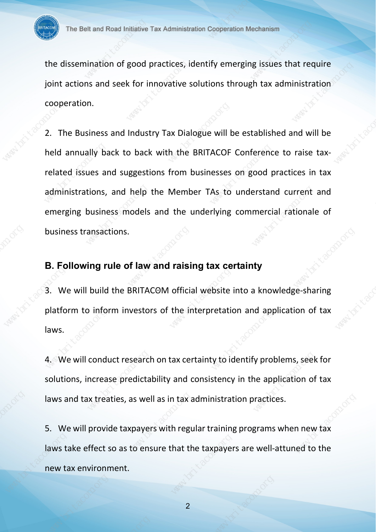the dissemination of good practices, identify emerging issues that require joint actions and seek for innovative solutions through tax administration cooperation.

2. The Business and Industry Tax Dialogue will be established and will be held annually back to back with the BRITACOF Conference to raise taxrelated issues and suggestions from businesses on good practices in tax administrations, and help the Member TAs to understand current and emerging business models and the underlying commercial rationale of business transactions. The Basic mann of Social Marketin Tax Administration Cooperation Marketins<br>
The Basemination of good practices, identify emerging issues that require<br>
joint actions and seak for innovative solutions through tax administrat

## B. Following rule of law and raising tax certainty

3. We will build the BRITACOM official website into a knowledge-sharing platform to inform investors of the interpretation and application of tax laws.

4. We will conduct research on tax certainty to identify problems, seek for solutions, increase predictability and consistency in the application of tax laws and tax treaties, as well as in tax administration practices.

5. We will provide taxpayers with regular training programs when new tax laws take effect so as to ensure that the taxpayers are well-attuned to the new tax environment.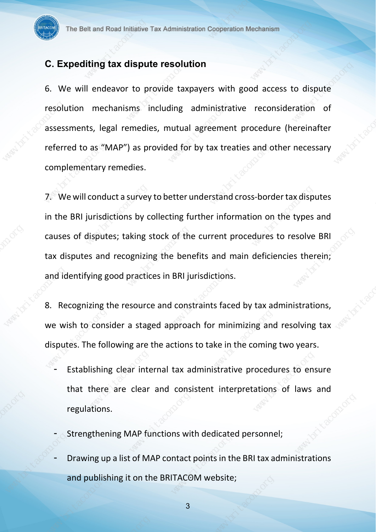## C. Expediting tax dispute resolution

6. We will endeavor to provide taxpayers with good access to dispute resolution mechanisms including administrative reconsideration of assessments, legal remedies, mutual agreement procedure (hereinafter referred to as "MAP") as provided for by tax treaties and other necessary complementary remedies.

7. We will conduct a survey to better understand cross-border tax disputes in the BRI jurisdictions by collecting further information on the types and causes of disputes; taking stock of the current procedures to resolve BRI tax disputes and recognizing the benefits and main deficiencies therein; and identifying good practices in BRI jurisdictions. The Baltimian Plane Internal Transmission Cooperation Mechanism<br>
C. Expediting tax dispute resolution<br>
B. We will endeavor to provide taxpayers with good access to dispute<br>
resolution mechanisms including administrative re

8. Recognizing the resource and constraints faced by tax administrations, we wish to consider a staged approach for minimizing and resolving tax disputes. The following are the actions to take in the coming two years.

- Establishing clear internal tax administrative procedures to ensure that there are clear and consistent interpretations of laws and regulations.
- Strengthening MAP functions with dedicated personnel;
- Drawing up a list of MAP contact points in the BRI tax administrations and publishing it on the BRITACOM website;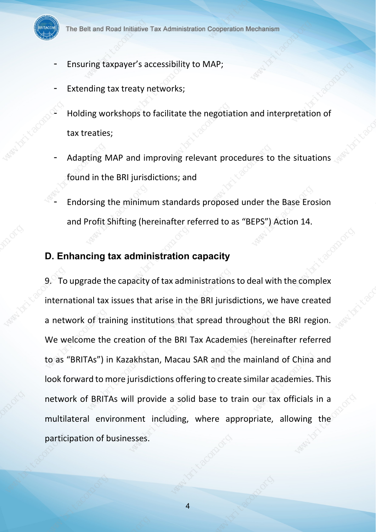

- Ensuring taxpayer's accessibility to MAP;
- Extending tax treaty networks;
- Holding workshops to facilitate the negotiation and interpretation of tax treaties;
- Adapting MAP and improving relevant procedures to the situations found in the BRI jurisdictions; and
- Endorsing the minimum standards proposed under the Base Erosion and Profit Shifting (hereinafter referred to as "BEPS") Action 14.

#### D. Enhancing tax administration capacity

9. To upgrade the capacity of tax administrations to deal with the complex international tax issues that arise in the BRI jurisdictions, we have created a network of training institutions that spread throughout the BRI region. We welcome the creation of the BRI Tax Academies (hereinafter referred to as "BRITAs") in Kazakhstan, Macau SAR and the mainland of China and look forward to more jurisdictions offering to create similar academies. This network of BRITAs will provide a solid base to train our tax officials in a multilateral environment including, where appropriate, allowing the participation of businesses. The Balt and Read Inflation Tax Administration Cooperation Machanian<br>
- Ensuring Exapayer's accessibility to MAP;<br>
- Extending tax treaty networks;<br>
- Holding workshops to facilitate the megotiation and interpretation of<br>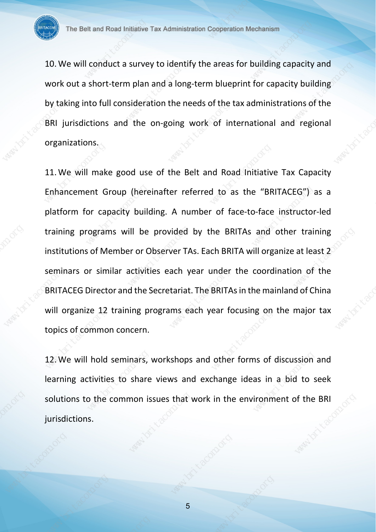10.We will conduct a survey to identify the areas for building capacity and work out a short-term plan and a long-term blueprint for capacity building by taking into full consideration the needs of the tax administrations of the BRI jurisdictions and the on-going work of international and regional organizations.

11.We will make good use of the Belt and Road Initiative Tax Capacity Enhancement Group (hereinafter referred to as the "BRITACEG") as a platform for capacity building. A number of face-to-face instructor-led training programs will be provided by the BRITAs and other training institutions of Member or Observer TAs. Each BRITA will organize at least 2 seminars or similar activities each year under the coordination of the BRITACEG Director and the Secretariat. The BRITAs in the mainland of China will organize 12 training programs each year focusing on the major tax topics of common concern. The Balt and Read Interior Tax Administration Cooperation Mechanism<br>The Balt and Read Interior Tax Administration Cooperation Mechanism<br>Work cut a short-term plan and a long-term blueprint for capacity and<br>Work cut a short

12.We will hold seminars, workshops and other forms of discussion and learning activities to share views and exchange ideas in a bid to seek solutions to the common issues that work in the environment of the BRI jurisdictions.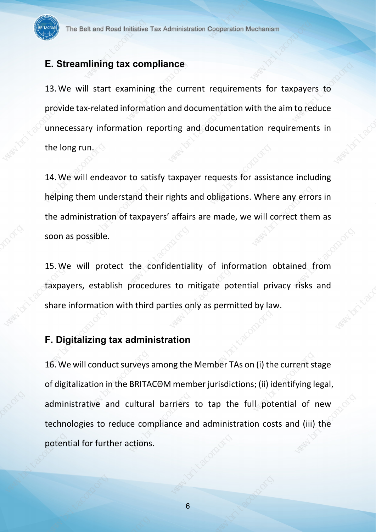#### E. Streamlining tax compliance

13. We will start examining the current requirements for taxpayers to provide tax-related information and documentation with the aim to reduce unnecessary information reporting and documentation requirements in the long run.

14.We will endeavor to satisfy taxpayer requests for assistance including helping them understand their rights and obligations. Where any errors in the administration of taxpayers' affairs are made, we will correct them as soon as possible.

15.We will protect the confidentiality of information obtained from taxpayers, establish procedures to mitigate potential privacy risks and share information with third parties only as permitted by law.

# F. Digitalizing tax administration

16.We will conduct surveys among the Member TAs on (i) the current stage of digitalization in the BRITACOM member jurisdictions; (ii) identifying legal, administrative and cultural barriers to tap the full potential of new technologies to reduce compliance and administration costs and (iii) the potential for further actions. The Balt and Read Intention Tax Administration Cooperation the hamilton Tax Balt and The United Tax Administration Cooperation Marketins<br>
13. We will start examining the current requirements for taxpayers to<br>
provide tax-r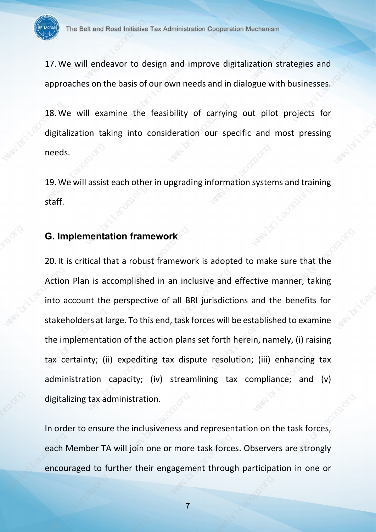17.We will endeavor to design and improve digitalization strategies and approaches on the basis of our own needs and in dialogue with businesses.

18.We will examine the feasibility of carrying out pilot projects for digitalization taking into consideration our specific and most pressing needs.

19.We will assist each other in upgrading information systems and training staff.

# G. Implementation framework

20. It is critical that a robust framework is adopted to make sure that the Action Plan is accomplished in an inclusive and effective manner, taking into account the perspective of all BRI jurisdictions and the benefits for stakeholders at large. To this end, task forces will be established to examine the implementation of the action plans set forth herein, namely, (i) raising tax certainty; (ii) expediting tax dispute resolution; (iii) enhancing tax administration capacity; (iv) streamlining tax compliance; and (v) digitalizing tax administration. The Balt and Read Interior Tax Administration Cooperation the hand interior and approaches on the basis of our own meets and in fallogue with businesses.<br>
13. We will examine the focasibility of carrying out pliot projects

In order to ensure the inclusiveness and representation on the task forces, each Member TA will join one or more task forces. Observers are strongly encouraged to further their engagement through participation in one or